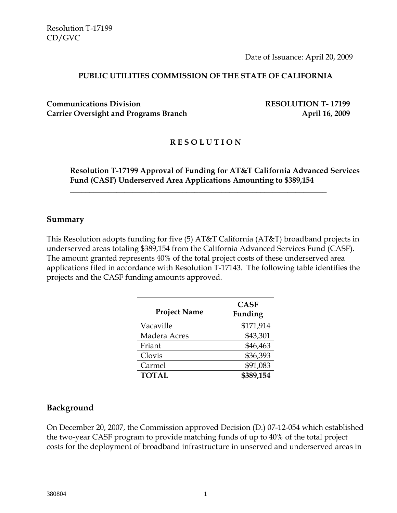Date of Issuance: April 20, 2009

#### **PUBLIC UTILITIES COMMISSION OF THE STATE OF CALIFORNIA**

**Communications Division RESOLUTION T- 17199** Carrier Oversight and Programs Branch **April 16, 2009** 

## **R E S O L U T I O N**

 $\overline{\phantom{a}}$  , and the contract of the contract of the contract of the contract of the contract of the contract of the contract of the contract of the contract of the contract of the contract of the contract of the contrac

### **Resolution T-17199 Approval of Funding for AT&T California Advanced Services Fund (CASF) Underserved Area Applications Amounting to \$389,154**

#### **Summary**

This Resolution adopts funding for five (5) AT&T California (AT&T) broadband projects in underserved areas totaling \$389,154 from the California Advanced Services Fund (CASF). The amount granted represents 40% of the total project costs of these underserved area applications filed in accordance with Resolution T-17143. The following table identifies the projects and the CASF funding amounts approved.

| <b>Project Name</b> | <b>CASF</b><br>Funding |
|---------------------|------------------------|
| Vacaville           | \$171,914              |
| Madera Acres        | \$43,301               |
| Friant              | \$46,463               |
| Clovis              | \$36,393               |
| Carmel              | \$91,083               |
| <b>TOTAL</b>        | \$389,154              |

#### **Background**

On December 20, 2007, the Commission approved Decision (D.) 07-12-054 which established the two-year CASF program to provide matching funds of up to 40% of the total project costs for the deployment of broadband infrastructure in unserved and underserved areas in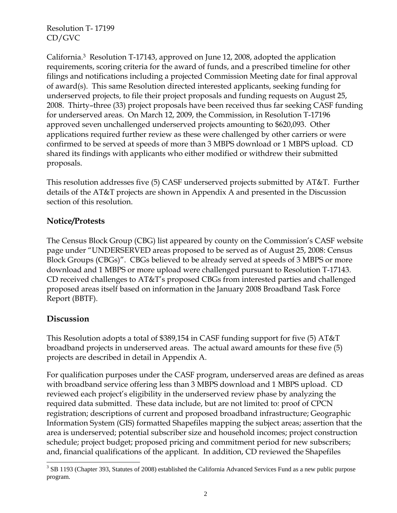California.3 Resolution T-17143, approved on June 12, 2008, adopted the application requirements, scoring criteria for the award of funds, and a prescribed timeline for other filings and notifications including a projected Commission Meeting date for final approval of award(s). This same Resolution directed interested applicants, seeking funding for underserved projects, to file their project proposals and funding requests on August 25, 2008. Thirty–three (33) project proposals have been received thus far seeking CASF funding for underserved areas. On March 12, 2009, the Commission, in Resolution T-17196 approved seven unchallenged underserved projects amounting to \$620,093. Other applications required further review as these were challenged by other carriers or were confirmed to be served at speeds of more than 3 MBPS download or 1 MBPS upload. CD shared its findings with applicants who either modified or withdrew their submitted proposals.

This resolution addresses five (5) CASF underserved projects submitted by AT&T. Further details of the AT&T projects are shown in Appendix A and presented in the Discussion section of this resolution.

## **Notice/Protests**

The Census Block Group (CBG) list appeared by county on the Commission's CASF website page under "UNDERSERVED areas proposed to be served as of August 25, 2008: Census Block Groups (CBGs)". CBGs believed to be already served at speeds of 3 MBPS or more download and 1 MBPS or more upload were challenged pursuant to Resolution T-17143. CD received challenges to AT&T's proposed CBGs from interested parties and challenged proposed areas itself based on information in the January 2008 Broadband Task Force Report (BBTF).

## **Discussion**

 $\overline{\phantom{a}}$ 

This Resolution adopts a total of \$389,154 in CASF funding support for five (5) AT&T broadband projects in underserved areas. The actual award amounts for these five (5) projects are described in detail in Appendix A.

For qualification purposes under the CASF program, underserved areas are defined as areas with broadband service offering less than 3 MBPS download and 1 MBPS upload. CD reviewed each project's eligibility in the underserved review phase by analyzing the required data submitted. These data include, but are not limited to: proof of CPCN registration; descriptions of current and proposed broadband infrastructure; Geographic Information System (GIS) formatted Shapefiles mapping the subject areas; assertion that the area is underserved; potential subscriber size and household incomes; project construction schedule; project budget; proposed pricing and commitment period for new subscribers; and, financial qualifications of the applicant. In addition, CD reviewed the Shapefiles

<sup>&</sup>lt;sup>3</sup> SB 1193 (Chapter 393, Statutes of 2008) established the California Advanced Services Fund as a new public purpose program.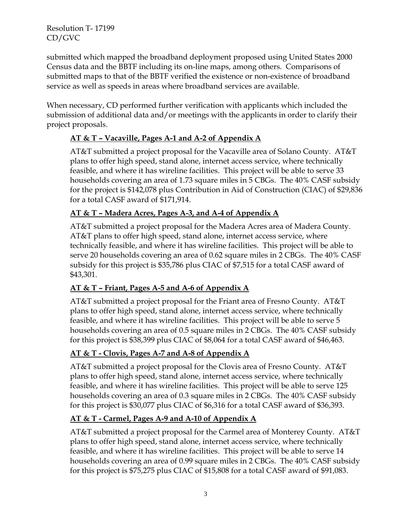submitted which mapped the broadband deployment proposed using United States 2000 Census data and the BBTF including its on-line maps, among others. Comparisons of submitted maps to that of the BBTF verified the existence or non-existence of broadband service as well as speeds in areas where broadband services are available.

When necessary, CD performed further verification with applicants which included the submission of additional data and/or meetings with the applicants in order to clarify their project proposals.

## **AT & T – Vacaville, Pages A-1 and A-2 of Appendix A**

AT&T submitted a project proposal for the Vacaville area of Solano County. AT&T plans to offer high speed, stand alone, internet access service, where technically feasible, and where it has wireline facilities. This project will be able to serve 33 households covering an area of 1.73 square miles in 5 CBGs. The 40% CASF subsidy for the project is \$142,078 plus Contribution in Aid of Construction (CIAC) of \$29,836 for a total CASF award of \$171,914.

## **AT & T – Madera Acres, Pages A-3, and A-4 of Appendix A**

AT&T submitted a project proposal for the Madera Acres area of Madera County. AT&T plans to offer high speed, stand alone, internet access service, where technically feasible, and where it has wireline facilities. This project will be able to serve 20 households covering an area of 0.62 square miles in 2 CBGs. The 40% CASF subsidy for this project is \$35,786 plus CIAC of \$7,515 for a total CASF award of \$43,301.

# **AT & T – Friant, Pages A-5 and A-6 of Appendix A**

AT&T submitted a project proposal for the Friant area of Fresno County. AT&T plans to offer high speed, stand alone, internet access service, where technically feasible, and where it has wireline facilities. This project will be able to serve 5 households covering an area of 0.5 square miles in 2 CBGs. The 40% CASF subsidy for this project is \$38,399 plus CIAC of \$8,064 for a total CASF award of \$46,463.

## **AT & T - Clovis, Pages A-7 and A-8 of Appendix A**

AT&T submitted a project proposal for the Clovis area of Fresno County. AT&T plans to offer high speed, stand alone, internet access service, where technically feasible, and where it has wireline facilities. This project will be able to serve 125 households covering an area of 0.3 square miles in 2 CBGs. The 40% CASF subsidy for this project is \$30,077 plus CIAC of \$6,316 for a total CASF award of \$36,393.

# **AT & T - Carmel, Pages A-9 and A-10 of Appendix A**

AT&T submitted a project proposal for the Carmel area of Monterey County. AT&T plans to offer high speed, stand alone, internet access service, where technically feasible, and where it has wireline facilities. This project will be able to serve 14 households covering an area of 0.99 square miles in 2 CBGs. The 40% CASF subsidy for this project is \$75,275 plus CIAC of \$15,808 for a total CASF award of \$91,083.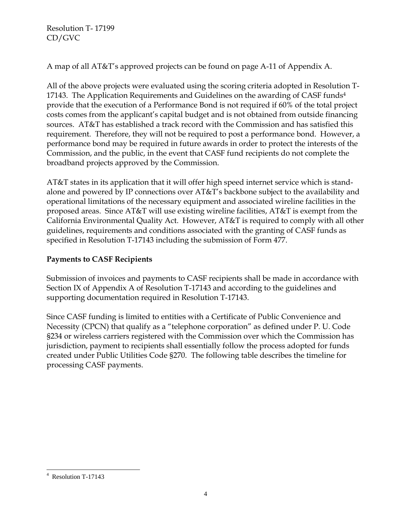A map of all AT&T's approved projects can be found on page A-11 of Appendix A.

All of the above projects were evaluated using the scoring criteria adopted in Resolution T-17143. The Application Requirements and Guidelines on the awarding of CASF funds<sup>4</sup> provide that the execution of a Performance Bond is not required if 60% of the total project costs comes from the applicant's capital budget and is not obtained from outside financing sources. AT&T has established a track record with the Commission and has satisfied this requirement. Therefore, they will not be required to post a performance bond. However, a performance bond may be required in future awards in order to protect the interests of the Commission, and the public, in the event that CASF fund recipients do not complete the broadband projects approved by the Commission.

AT&T states in its application that it will offer high speed internet service which is standalone and powered by IP connections over AT&T's backbone subject to the availability and operational limitations of the necessary equipment and associated wireline facilities in the proposed areas. Since AT&T will use existing wireline facilities, AT&T is exempt from the California Environmental Quality Act. However, AT&T is required to comply with all other guidelines, requirements and conditions associated with the granting of CASF funds as specified in Resolution T-17143 including the submission of Form 477.

## **Payments to CASF Recipients**

Submission of invoices and payments to CASF recipients shall be made in accordance with Section IX of Appendix A of Resolution T-17143 and according to the guidelines and supporting documentation required in Resolution T-17143.

Since CASF funding is limited to entities with a Certificate of Public Convenience and Necessity (CPCN) that qualify as a "telephone corporation" as defined under P. U. Code §234 or wireless carriers registered with the Commission over which the Commission has jurisdiction, payment to recipients shall essentially follow the process adopted for funds created under Public Utilities Code §270. The following table describes the timeline for processing CASF payments.

 $\overline{\phantom{a}}$ 

<sup>4</sup> Resolution T-17143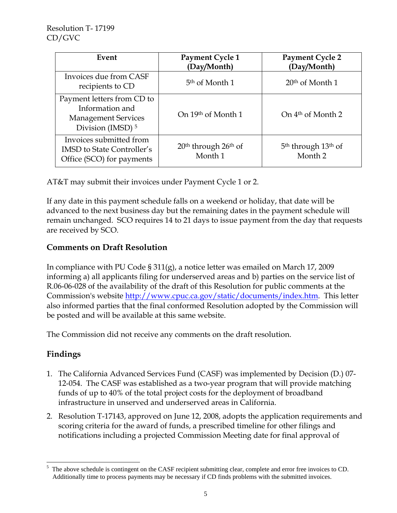| Event                                                                                                       | Payment Cycle 1<br>(Day/Month)      | Payment Cycle 2<br>(Day/Month)                                    |
|-------------------------------------------------------------------------------------------------------------|-------------------------------------|-------------------------------------------------------------------|
| Invoices due from CASF<br>recipients to CD                                                                  | 5 <sup>th</sup> of Month 1          | $20th$ of Month 1                                                 |
| Payment letters from CD to<br>Information and<br><b>Management Services</b><br>Division (IMSD) <sup>5</sup> | On 19th of Month 1                  | On $4th$ of Month 2                                               |
| Invoices submitted from<br><b>IMSD</b> to State Controller's<br>Office (SCO) for payments                   | $20th$ through $26th$ of<br>Month 1 | 5 <sup>th</sup> through 13 <sup>th</sup> of<br>Month <sub>2</sub> |

AT&T may submit their invoices under Payment Cycle 1 or 2.

If any date in this payment schedule falls on a weekend or holiday, that date will be advanced to the next business day but the remaining dates in the payment schedule will remain unchanged. SCO requires 14 to 21 days to issue payment from the day that requests are received by SCO.

## **Comments on Draft Resolution**

In compliance with PU Code §  $311(g)$ , a notice letter was emailed on March 17, 2009 informing a) all applicants filing for underserved areas and b) parties on the service list of R.06-06-028 of the availability of the draft of this Resolution for public comments at the Commission's website http://www.cpuc.ca.gov/static/documents/index.htm. This letter also informed parties that the final conformed Resolution adopted by the Commission will be posted and will be available at this same website.

The Commission did not receive any comments on the draft resolution.

# **Findings**

- 1. The California Advanced Services Fund (CASF) was implemented by Decision (D.) 07- 12-054. The CASF was established as a two-year program that will provide matching funds of up to 40% of the total project costs for the deployment of broadband infrastructure in unserved and underserved areas in California.
- 2. Resolution T-17143, approved on June 12, 2008, adopts the application requirements and scoring criteria for the award of funds, a prescribed timeline for other filings and notifications including a projected Commission Meeting date for final approval of

 $\overline{\phantom{a}}$ 5 The above schedule is contingent on the CASF recipient submitting clear, complete and error free invoices to CD. Additionally time to process payments may be necessary if CD finds problems with the submitted invoices.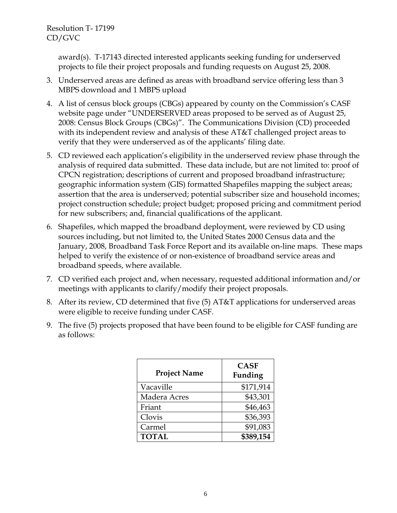award(s). T-17143 directed interested applicants seeking funding for underserved projects to file their project proposals and funding requests on August 25, 2008.

- 3. Underserved areas are defined as areas with broadband service offering less than 3 MBPS download and 1 MBPS upload
- 4. A list of census block groups (CBGs) appeared by county on the Commission's CASF website page under "UNDERSERVED areas proposed to be served as of August 25, 2008: Census Block Groups (CBGs)". The Communications Division (CD) proceeded with its independent review and analysis of these AT&T challenged project areas to verify that they were underserved as of the applicants' filing date.
- 5. CD reviewed each application's eligibility in the underserved review phase through the analysis of required data submitted. These data include, but are not limited to: proof of CPCN registration; descriptions of current and proposed broadband infrastructure; geographic information system (GIS) formatted Shapefiles mapping the subject areas; assertion that the area is underserved; potential subscriber size and household incomes; project construction schedule; project budget; proposed pricing and commitment period for new subscribers; and, financial qualifications of the applicant.
- 6. Shapefiles, which mapped the broadband deployment, were reviewed by CD using sources including, but not limited to, the United States 2000 Census data and the January, 2008, Broadband Task Force Report and its available on-line maps. These maps helped to verify the existence of or non-existence of broadband service areas and broadband speeds, where available.
- 7. CD verified each project and, when necessary, requested additional information and/or meetings with applicants to clarify/modify their project proposals.
- 8. After its review, CD determined that five (5) AT&T applications for underserved areas were eligible to receive funding under CASF.
- 9. The five (5) projects proposed that have been found to be eligible for CASF funding are as follows:

| <b>Project Name</b> | <b>CASF</b><br>Funding |
|---------------------|------------------------|
| Vacaville           | \$171,914              |
| Madera Acres        | \$43,301               |
| Friant              | \$46,463               |
| Clovis              | \$36,393               |
| Carmel              | \$91,083               |
| <b>TOTAL</b>        | \$389,154              |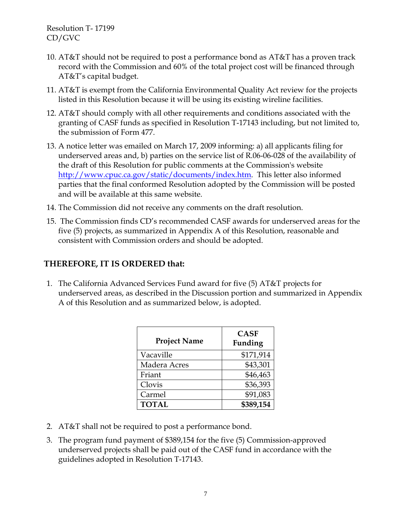- 10. AT&T should not be required to post a performance bond as AT&T has a proven track record with the Commission and 60% of the total project cost will be financed through AT&T's capital budget.
- 11. AT&T is exempt from the California Environmental Quality Act review for the projects listed in this Resolution because it will be using its existing wireline facilities.
- 12. AT&T should comply with all other requirements and conditions associated with the granting of CASF funds as specified in Resolution T-17143 including, but not limited to, the submission of Form 477.
- 13. A notice letter was emailed on March 17, 2009 informing: a) all applicants filing for underserved areas and, b) parties on the service list of R.06-06-028 of the availability of the draft of this Resolution for public comments at the Commission's website http://www.cpuc.ca.gov/static/documents/index.htm. This letter also informed parties that the final conformed Resolution adopted by the Commission will be posted and will be available at this same website.
- 14. The Commission did not receive any comments on the draft resolution.
- 15. The Commission finds CD's recommended CASF awards for underserved areas for the five (5) projects, as summarized in Appendix A of this Resolution, reasonable and consistent with Commission orders and should be adopted.

## **THEREFORE, IT IS ORDERED that:**

1. The California Advanced Services Fund award for five (5) AT&T projects for underserved areas, as described in the Discussion portion and summarized in Appendix A of this Resolution and as summarized below, is adopted.

| <b>Project Name</b> | <b>CASF</b><br>Funding |
|---------------------|------------------------|
| Vacaville           | \$171,914              |
| Madera Acres        | \$43,301               |
| Friant              | \$46,463               |
| Clovis              | \$36,393               |
| Carmel              | \$91,083               |
| <b>TOTAL</b>        | \$389,154              |

- 2. AT&T shall not be required to post a performance bond.
- 3. The program fund payment of \$389,154 for the five (5) Commission-approved underserved projects shall be paid out of the CASF fund in accordance with the guidelines adopted in Resolution T-17143.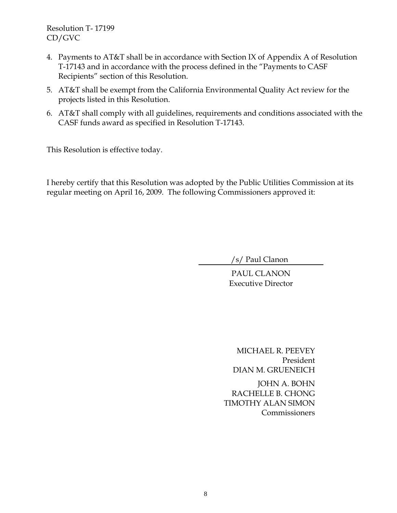- 4. Payments to AT&T shall be in accordance with Section IX of Appendix A of Resolution T-17143 and in accordance with the process defined in the "Payments to CASF Recipients" section of this Resolution.
- 5. AT&T shall be exempt from the California Environmental Quality Act review for the projects listed in this Resolution.
- 6. AT&T shall comply with all guidelines, requirements and conditions associated with the CASF funds award as specified in Resolution T-17143.

This Resolution is effective today.

I hereby certify that this Resolution was adopted by the Public Utilities Commission at its regular meeting on April 16, 2009. The following Commissioners approved it:

/s/ Paul Clanon

PAUL CLANON Executive Director

MICHAEL R. PEEVEY President DIAN M. GRUENEICH JOHN A. BOHN RACHELLE B. CHONG

TIMOTHY ALAN SIMON Commissioners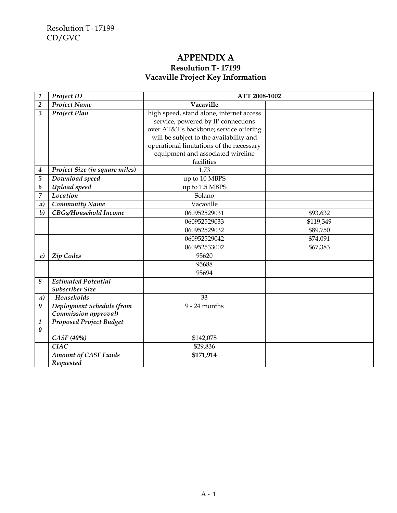## **APPENDIX A Resolution T- 17199 Vacaville Project Key Information**

| $\mathbf{1}$               | Project ID                                           | ATT 2008-1002                                                                                                                                                                                                                                                      |           |
|----------------------------|------------------------------------------------------|--------------------------------------------------------------------------------------------------------------------------------------------------------------------------------------------------------------------------------------------------------------------|-----------|
| $\overline{2}$             | Project Name                                         | Vacaville                                                                                                                                                                                                                                                          |           |
| 3                          | <b>Project Plan</b>                                  | high speed, stand alone, internet access<br>service, powered by IP connections<br>over AT&T's backbone; service offering<br>will be subject to the availability and<br>operational limitations of the necessary<br>equipment and associated wireline<br>facilities |           |
| 4                          | Project Size (in square miles)                       | 1.73                                                                                                                                                                                                                                                               |           |
| 5                          | Download speed                                       | up to 10 MBPS                                                                                                                                                                                                                                                      |           |
| 6                          | Upload speed                                         | up to 1.5 MBPS                                                                                                                                                                                                                                                     |           |
| 7                          | Location                                             | Solano                                                                                                                                                                                                                                                             |           |
| a)                         | <b>Community Name</b>                                | Vacaville                                                                                                                                                                                                                                                          |           |
| $\boldsymbol{b}$           | <b>CBGs/Household Income</b>                         | 060952529031                                                                                                                                                                                                                                                       | \$93,632  |
|                            |                                                      | 060952529033                                                                                                                                                                                                                                                       | \$119,349 |
|                            |                                                      | 060952529032                                                                                                                                                                                                                                                       | \$89,750  |
|                            |                                                      | 060952529042                                                                                                                                                                                                                                                       | \$74,091  |
|                            |                                                      | 060952533002                                                                                                                                                                                                                                                       | \$67,383  |
| c)                         | <b>Zip Codes</b>                                     | 95620                                                                                                                                                                                                                                                              |           |
|                            |                                                      | 95688                                                                                                                                                                                                                                                              |           |
|                            |                                                      | 95694                                                                                                                                                                                                                                                              |           |
| 8                          | <b>Estimated Potential</b><br><b>Subscriber Size</b> |                                                                                                                                                                                                                                                                    |           |
| a)                         | Households                                           | 33                                                                                                                                                                                                                                                                 |           |
| 9                          | Deployment Schedule (from<br>Commission approval)    | $9 - 24$ months                                                                                                                                                                                                                                                    |           |
| 1<br>$\boldsymbol{\theta}$ | Proposed Project Budget                              |                                                                                                                                                                                                                                                                    |           |
|                            | CASF (40%)                                           | \$142,078                                                                                                                                                                                                                                                          |           |
|                            | CIAC                                                 | \$29,836                                                                                                                                                                                                                                                           |           |
|                            | <b>Amount of CASF Funds</b><br>Requested             | \$171,914                                                                                                                                                                                                                                                          |           |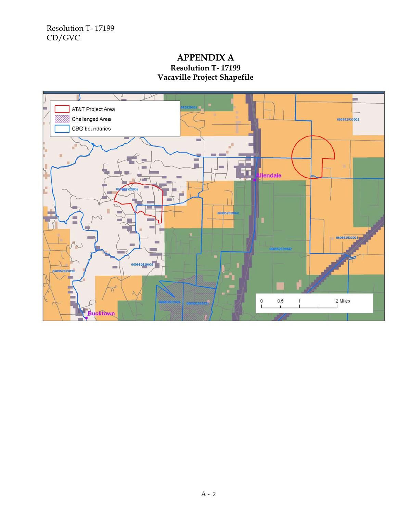## **APPENDIX A Resolution T- 17199 Vacaville Project Shapefile**

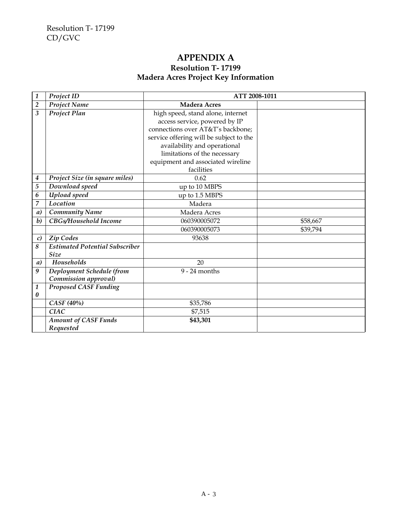## **APPENDIX A Resolution T- 17199 Madera Acres Project Key Information**

| $\mathbf{1}$     | Project ID                            | ATT 2008-1011                           |          |
|------------------|---------------------------------------|-----------------------------------------|----------|
| $\overline{2}$   | Project Name                          | <b>Madera Acres</b>                     |          |
| 3                | Project Plan                          | high speed, stand alone, internet       |          |
|                  |                                       | access service, powered by IP           |          |
|                  |                                       | connections over AT&T's backbone;       |          |
|                  |                                       | service offering will be subject to the |          |
|                  |                                       | availability and operational            |          |
|                  |                                       | limitations of the necessary            |          |
|                  |                                       | equipment and associated wireline       |          |
|                  |                                       | facilities                              |          |
| $\boldsymbol{4}$ | Project Size (in square miles)        | 0.62                                    |          |
| 5                | Download speed                        | up to 10 MBPS                           |          |
| 6                | Upload speed                          | up to 1.5 MBPS                          |          |
| 7                | Location                              | Madera                                  |          |
| a)               | <b>Community Name</b>                 | Madera Acres                            |          |
| $\boldsymbol{b}$ | CBGs/Household Income                 | 060390005072                            | \$58,667 |
|                  |                                       | 060390005073                            | \$39,794 |
| c)               | Zip Codes                             | 93638                                   |          |
| 8                | <b>Estimated Potential Subscriber</b> |                                         |          |
|                  | <b>Size</b>                           |                                         |          |
| a)               | Households                            | 20                                      |          |
| 9                | Deployment Schedule (from             | $9 - 24$ months                         |          |
|                  | Commission approval)                  |                                         |          |
| $\mathbf{1}$     | <b>Proposed CASF Funding</b>          |                                         |          |
| 0                |                                       |                                         |          |
|                  | CASF (40%)                            | \$35,786                                |          |
|                  | <b>CIAC</b>                           | \$7,515                                 |          |
|                  | <b>Amount of CASF Funds</b>           | \$43,301                                |          |
|                  | Requested                             |                                         |          |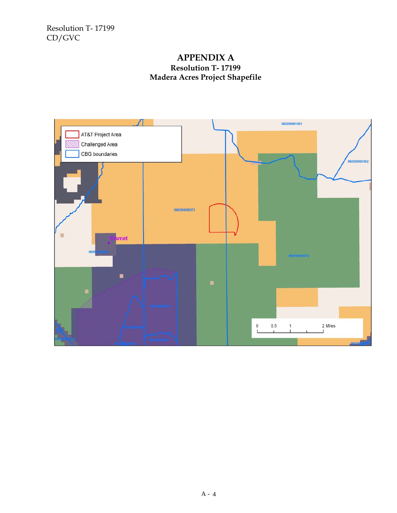## **APPENDIX A Resolution T- 17199 Madera Acres Project Shapefile**

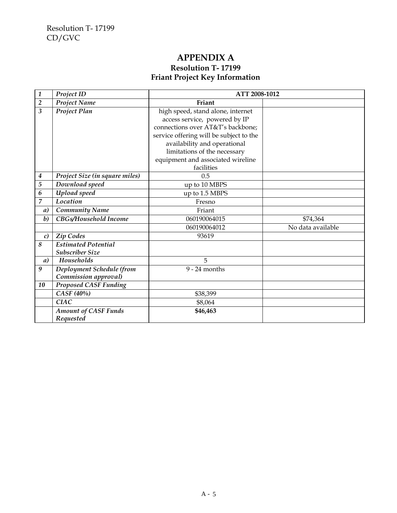## **APPENDIX A Resolution T- 17199 Friant Project Key Information**

| $\mathbf{1}$            | Project ID                     | ATT 2008-1012                           |                   |
|-------------------------|--------------------------------|-----------------------------------------|-------------------|
| $\overline{2}$          | Project Name                   | Friant                                  |                   |
| $\overline{\mathbf{3}}$ | Project Plan                   | high speed, stand alone, internet       |                   |
|                         |                                | access service, powered by IP           |                   |
|                         |                                | connections over AT&T's backbone;       |                   |
|                         |                                | service offering will be subject to the |                   |
|                         |                                | availability and operational            |                   |
|                         |                                | limitations of the necessary            |                   |
|                         |                                | equipment and associated wireline       |                   |
|                         |                                | facilities                              |                   |
| 4                       | Project Size (in square miles) | 0.5                                     |                   |
| 5                       | Download speed                 | up to 10 MBPS                           |                   |
| 6                       | Upload speed                   | up to 1.5 MBPS                          |                   |
| 7                       | Location                       | Fresno                                  |                   |
| a)                      | <b>Community Name</b>          | Friant                                  |                   |
| $\boldsymbol{b}$        | CBGs/Household Income          | 060190064015                            | \$74,364          |
|                         |                                | 060190064012                            | No data available |
| c)                      | <b>Zip Codes</b>               | 93619                                   |                   |
| 8                       | <b>Estimated Potential</b>     |                                         |                   |
|                         | <b>Subscriber Size</b>         |                                         |                   |
| a)                      | Households                     | 5                                       |                   |
| 9                       | Deployment Schedule (from      | $9 - 24$ months                         |                   |
|                         | Commission approval)           |                                         |                   |
| 10                      | <b>Proposed CASF Funding</b>   |                                         |                   |
|                         | CASF (40%)                     | \$38,399                                |                   |
|                         | <b>CIAC</b>                    | \$8,064                                 |                   |
|                         | <b>Amount of CASF Funds</b>    | \$46,463                                |                   |
|                         | Requested                      |                                         |                   |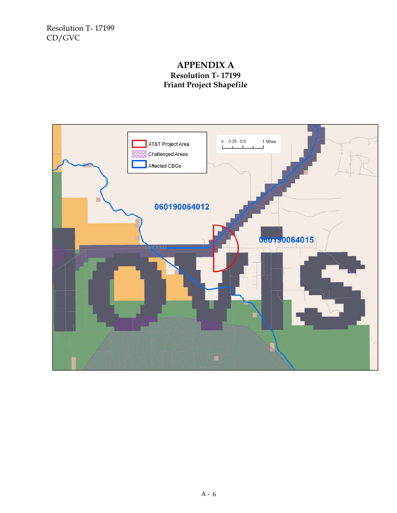### **APPENDIX A Resolution T- 17199 Friant Project Shapefile**

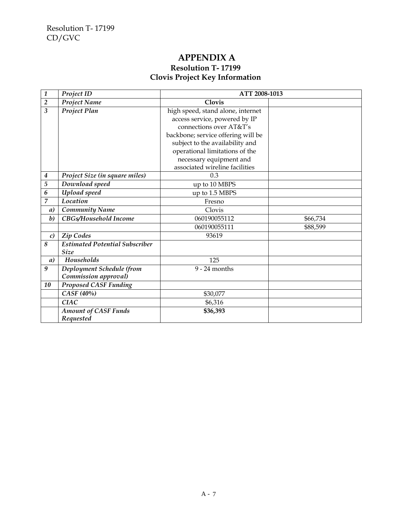## **APPENDIX A Resolution T- 17199 Clovis Project Key Information**

| $\mathbf{1}$            | Project ID                            | ATT 2008-1013                      |          |
|-------------------------|---------------------------------------|------------------------------------|----------|
| $\overline{2}$          | Project Name                          | <b>Clovis</b>                      |          |
| $\overline{\mathbf{3}}$ | Project Plan                          | high speed, stand alone, internet  |          |
|                         |                                       | access service, powered by IP      |          |
|                         |                                       | connections over AT&T's            |          |
|                         |                                       | backbone; service offering will be |          |
|                         |                                       | subject to the availability and    |          |
|                         |                                       | operational limitations of the     |          |
|                         |                                       | necessary equipment and            |          |
|                         |                                       | associated wireline facilities     |          |
| 4                       | Project Size (in square miles)        | 0.3                                |          |
| 5                       | Download speed                        | up to 10 MBPS                      |          |
| 6                       | Upload speed                          | up to 1.5 MBPS                     |          |
| $\overline{7}$          | Location                              | Fresno                             |          |
| a)                      | <b>Community Name</b>                 | Clovis                             |          |
| $\boldsymbol{b}$        | <b>CBGs/Household Income</b>          | 060190055112                       | \$66,734 |
|                         |                                       | 060190055111                       | \$88,599 |
| $\mathcal{C}$           | Zip Codes                             | 93619                              |          |
| 8                       | <b>Estimated Potential Subscriber</b> |                                    |          |
|                         | <b>Size</b>                           |                                    |          |
| a)                      | Households                            | 125                                |          |
| $\boldsymbol{9}$        | Deployment Schedule (from             | $9 - 24$ months                    |          |
|                         | Commission approval)                  |                                    |          |
| 10                      | <b>Proposed CASF Funding</b>          |                                    |          |
|                         | CASF (40%)                            | \$30,077                           |          |
|                         | <b>CIAC</b>                           | \$6,316                            |          |
|                         | <b>Amount of CASF Funds</b>           | \$36,393                           |          |
|                         | Requested                             |                                    |          |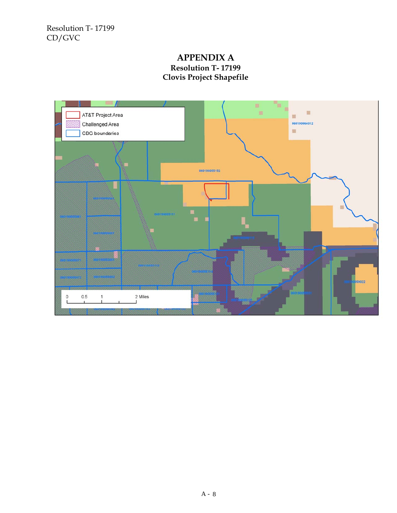## **APPENDIX A Resolution T- 17199 Clovis Project Shapefile**

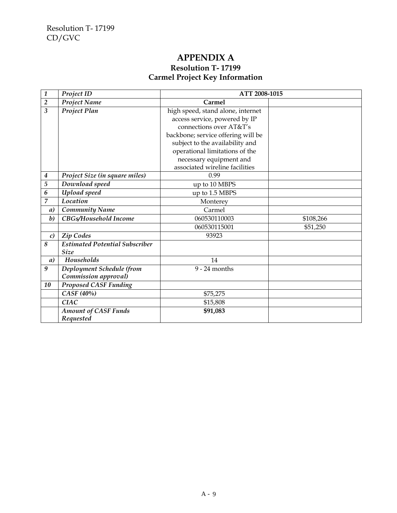## **APPENDIX A Resolution T- 17199 Carmel Project Key Information**

| $\mathbf{1}$            | Project ID                            | ATT 2008-1015                      |           |
|-------------------------|---------------------------------------|------------------------------------|-----------|
| $\overline{2}$          | Project Name                          | Carmel                             |           |
| $\overline{\mathbf{3}}$ | Project Plan                          | high speed, stand alone, internet  |           |
|                         |                                       | access service, powered by IP      |           |
|                         |                                       | connections over AT&T's            |           |
|                         |                                       | backbone; service offering will be |           |
|                         |                                       | subject to the availability and    |           |
|                         |                                       | operational limitations of the     |           |
|                         |                                       | necessary equipment and            |           |
|                         |                                       | associated wireline facilities     |           |
| $\boldsymbol{4}$        | Project Size (in square miles)        | 0.99                               |           |
| 5                       | Download speed                        | up to 10 MBPS                      |           |
| 6                       | Upload speed                          | up to 1.5 MBPS                     |           |
| $\overline{7}$          | Location                              | Monterey                           |           |
| a)                      | <b>Community Name</b>                 | Carmel                             |           |
| $\boldsymbol{b}$        | <b>CBGs/Household Income</b>          | 060530110003                       | \$108,266 |
|                         |                                       | 060530115001                       | \$51,250  |
| $\mathcal{C}$           | Zip Codes                             | 93923                              |           |
| 8                       | <b>Estimated Potential Subscriber</b> |                                    |           |
|                         | <b>Size</b>                           |                                    |           |
| a)                      | Households                            | 14                                 |           |
| $\boldsymbol{9}$        | Deployment Schedule (from             | $9 - 24$ months                    |           |
|                         | Commission approval)                  |                                    |           |
| 10                      | <b>Proposed CASF Funding</b>          |                                    |           |
|                         | CASF (40%)                            | \$75,275                           |           |
|                         | <b>CIAC</b>                           | \$15,808                           |           |
|                         | <b>Amount of CASF Funds</b>           | \$91,083                           |           |
|                         | Requested                             |                                    |           |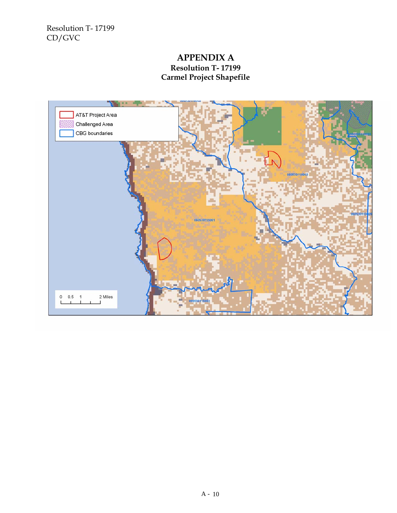## **APPENDIX A Resolution T- 17199 Carmel Project Shapefile**